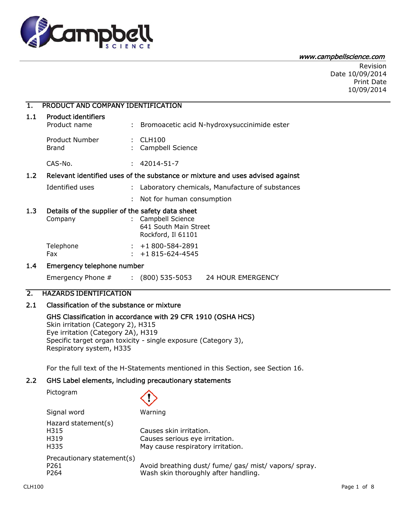

#### www.campbellscience.com

Revision Date 10/09/2014 Print Date 10/09/2014

## 1. PRODUCT AND COMPANY IDENTIFICATION 1.1 Product identifiers Product name : Bromoacetic acid N-hydroxysuccinimide ester Product Number : CLH100 Brand : Campbell Science CAS-No. : 42014-51-7 1.2 Relevant identified uses of the substance or mixture and uses advised against Identified uses : Laboratory chemicals, Manufacture of substances : Not for human consumption 1.3 Details of the supplier of the safety data sheet Company : Campbell Science 641 South Main Street Rockford, Il 61101 Telephone : +1 800-584-2891 Fax : +1 815-624-4545 1.4 Emergency telephone number

Emergency Phone # : (800) 535-5053 24 HOUR EMERGENCY

GHS Classification in accordance with 29 CFR 1910 (OSHA HCS)

Specific target organ toxicity - single exposure (Category 3),

### 2. HAZARDS IDENTIFICATION

### 2.1 Classification of the substance or mixture

Skin irritation (Category 2), H315 Eye irritation (Category 2A), H319

Respiratory system, H335

# $CLH100$  Page 1 of 8 For the full text of the H-Statements mentioned in this Section, see Section 16. 2.2 GHS Label elements, including precautionary statements Pictogram Signal word Warning Hazard statement(s) H315 Causes skin irritation. H319 Causes serious eye irritation. H335 May cause respiratory irritation. Precautionary statement(s) P261 **Avoid breathing dust/ fume/ gas/ mist/ vapors/ spray.** P264 Wash skin thoroughly after handling.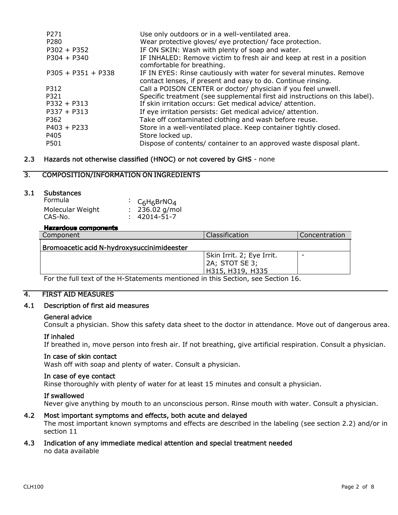| P271<br>P280         | Use only outdoors or in a well-ventilated area.                                                     |
|----------------------|-----------------------------------------------------------------------------------------------------|
| $P302 + P352$        | Wear protective gloves/ eye protection/ face protection.                                            |
|                      | IF ON SKIN: Wash with plenty of soap and water.                                                     |
| $P304 + P340$        | IF INHALED: Remove victim to fresh air and keep at rest in a position<br>comfortable for breathing. |
| $P305 + P351 + P338$ | IF IN EYES: Rinse cautiously with water for several minutes. Remove                                 |
|                      | contact lenses, if present and easy to do. Continue rinsing.                                        |
| P312                 | Call a POISON CENTER or doctor/ physician if you feel unwell.                                       |
| P321                 | Specific treatment (see supplemental first aid instructions on this label).                         |
| $P332 + P313$        | If skin irritation occurs: Get medical advice/attention.                                            |
| $P337 + P313$        | If eye irritation persists: Get medical advice/attention.                                           |
| P362                 | Take off contaminated clothing and wash before reuse.                                               |
| $P403 + P233$        | Store in a well-ventilated place. Keep container tightly closed.                                    |
| P405                 | Store locked up.                                                                                    |
| P501                 | Dispose of contents/ container to an approved waste disposal plant.                                 |

### 2.3 Hazards not otherwise classified (HNOC) or not covered by GHS - none

### 3. COMPOSITION/INFORMATION ON INGREDIENTS

### 3.1 Substances

| <b>Formula</b>   | : $C_6H_6BrNO_4$   |
|------------------|--------------------|
| Molecular Weight | $: 236.02$ g/mol   |
| CAS-No.          | $: 42014 - 51 - 7$ |

#### **Hazardous components**

| Component                                  | Classification            | Concentration |
|--------------------------------------------|---------------------------|---------------|
| Bromoacetic acid N-hydroxysuccinimideester |                           |               |
|                                            | Skin Irrit. 2; Eye Irrit. | -             |
|                                            | 2A; STOT SE 3;            |               |
|                                            | H315, H319, H335          |               |

For the full text of the H-Statements mentioned in this Section, see Section 16.

### 4. FIRST AID MEASURES

### 4.1 Description of first aid measures

#### General advice

Consult a physician. Show this safety data sheet to the doctor in attendance. Move out of dangerous area.

### If inhaled

If breathed in, move person into fresh air. If not breathing, give artificial respiration. Consult a physician.

#### In case of skin contact

Wash off with soap and plenty of water. Consult a physician.

#### In case of eye contact

Rinse thoroughly with plenty of water for at least 15 minutes and consult a physician.

#### If swallowed

Never give anything by mouth to an unconscious person. Rinse mouth with water. Consult a physician.

### 4.2 Most important symptoms and effects, both acute and delayed

The most important known symptoms and effects are described in the labeling (see section 2.2) and/or in section 11

### 4.3 Indication of any immediate medical attention and special treatment needed no data available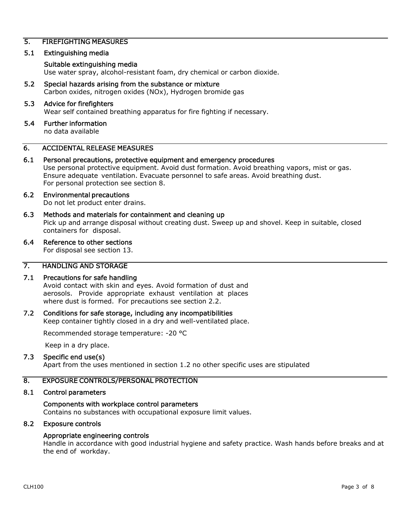### 5. FIREFIGHTING MEASURES

### 5.1 Extinguishing media

#### Suitable extinguishing media

Use water spray, alcohol-resistant foam, dry chemical or carbon dioxide.

5.2 Special hazards arising from the substance or mixture Carbon oxides, nitrogen oxides (NOx), Hydrogen bromide gas

#### 5.3 Advice for firefighters

Wear self contained breathing apparatus for fire fighting if necessary.

#### 5.4 Further information

no data available

### 6. ACCIDENTAL RELEASE MEASURES

6.1 Personal precautions, protective equipment and emergency procedures Use personal protective equipment. Avoid dust formation. Avoid breathing vapors, mist or gas. Ensure adequate ventilation. Evacuate personnel to safe areas. Avoid breathing dust.

For personal protection see section 8.

## 6.2 Environmental precautions

Do not let product enter drains.

6.3 Methods and materials for containment and cleaning up Pick up and arrange disposal without creating dust. Sweep up and shovel. Keep in suitable, closed containers for disposal.

### 6.4 Reference to other sections

For disposal see section 13.

### 7. HANDLING AND STORAGE

### 7.1 Precautions for safe handling

Avoid contact with skin and eyes. Avoid formation of dust and aerosols. Provide appropriate exhaust ventilation at places where dust is formed. For precautions see section 2.2.

### 7.2 Conditions for safe storage, including any incompatibilities

Keep container tightly closed in a dry and well-ventilated place.

Recommended storage temperature: -20 °C

Keep in a dry place.

### 7.3 Specific end use(s)

Apart from the uses mentioned in section 1.2 no other specific uses are stipulated

### 8. EXPOSURE CONTROLS/PERSONAL PROTECTION

### 8.1 Control parameters

### Components with workplace control parameters

Contains no substances with occupational exposure limit values.

### 8.2 Exposure controls

### Appropriate engineering controls

Handle in accordance with good industrial hygiene and safety practice. Wash hands before breaks and at the end of workday.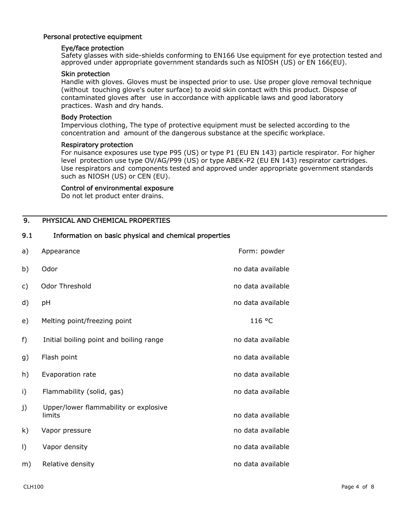### Personal protective equipment

#### Eye/face protection

Safety glasses with side-shields conforming to EN166 Use equipment for eye protection tested and approved under appropriate government standards such as NIOSH (US) or EN 166(EU).

#### Skin protection

Handle with gloves. Gloves must be inspected prior to use. Use proper glove removal technique (without touching glove's outer surface) to avoid skin contact with this product. Dispose of contaminated gloves after use in accordance with applicable laws and good laboratory practices. Wash and dry hands.

#### Body Protection

Impervious clothing, The type of protective equipment must be selected according to the concentration and amount of the dangerous substance at the specific workplace.

#### Respiratory protection

For nuisance exposures use type P95 (US) or type P1 (EU EN 143) particle respirator. For higher level protection use type OV/AG/P99 (US) or type ABEK-P2 (EU EN 143) respirator cartridges. Use respirators and components tested and approved under appropriate government standards such as NIOSH (US) or CEN (EU).

#### Control of environmental exposure

Do not let product enter drains.

### 9. PHYSICAL AND CHEMICAL PROPERTIES

#### 9.1 Information on basic physical and chemical properties

| a)      | Appearance                                      | Form: powder      |
|---------|-------------------------------------------------|-------------------|
| b)      | Odor                                            | no data available |
| c)      | Odor Threshold                                  | no data available |
| d)      | pH                                              | no data available |
| e)      | Melting point/freezing point                    | 116 °C            |
| f)      | Initial boiling point and boiling range         | no data available |
| g)      | Flash point                                     | no data available |
| h)      | Evaporation rate                                | no data available |
| i)      | Flammability (solid, gas)                       | no data available |
| j)      | Upper/lower flammability or explosive<br>limits | no data available |
| k)      | Vapor pressure                                  | no data available |
| $\vert$ | Vapor density                                   | no data available |
| m)      | Relative density                                | no data available |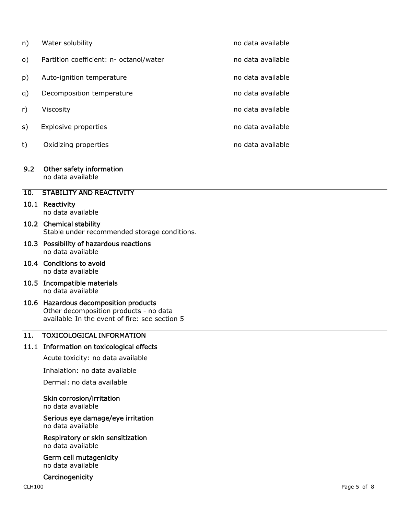| n)        | Water solubility                        | no data available |
|-----------|-----------------------------------------|-------------------|
| $\circ$ ) | Partition coefficient: n- octanol/water | no data available |
| p)        | Auto-ignition temperature               | no data available |
| q)        | Decomposition temperature               | no data available |
| r)        | Viscosity                               | no data available |
| s)        | <b>Explosive properties</b>             | no data available |
| t)        | Oxidizing properties                    | no data available |

### 9.2 Other safety information

no data available

### 10. STABILITY AND REACTIVITY

### 10.1 Reactivity

no data available

### 10.2 Chemical stability Stable under recommended storage conditions.

- 10.3 Possibility of hazardous reactions no data available
- 10.4 Conditions to avoid no data available
- 10.5 Incompatible materials no data available

### 10.6 Hazardous decomposition products Other decomposition products - no data available In the event of fire: see section 5

### 11. TOXICOLOGICAL INFORMATION

### 11.1 Information on toxicological effects

Acute toxicity: no data available

Inhalation: no data available

Dermal: no data available

### Skin corrosion/irritation

no data available

#### Serious eye damage/eye irritation no data available

Respiratory or skin sensitization no data available

#### Germ cell mutagenicity no data available

### **Carcinogenicity**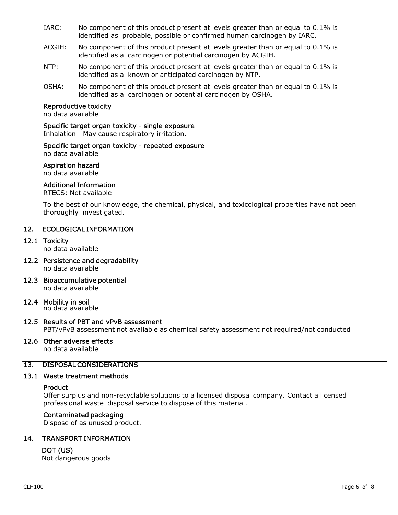- IARC: No component of this product present at levels greater than or equal to 0.1% is identified as probable, possible or confirmed human carcinogen by IARC.
- ACGIH: No component of this product present at levels greater than or equal to 0.1% is identified as a carcinogen or potential carcinogen by ACGIH.
- NTP: No component of this product present at levels greater than or equal to 0.1% is identified as a known or anticipated carcinogen by NTP.
- OSHA: No component of this product present at levels greater than or equal to 0.1% is identified as a carcinogen or potential carcinogen by OSHA.

#### Reproductive toxicity

no data available

#### Specific target organ toxicity - single exposure

Inhalation - May cause respiratory irritation.

### Specific target organ toxicity - repeated exposure

no data available

#### Aspiration hazard

no data available

### Additional Information

RTECS: Not available

To the best of our knowledge, the chemical, physical, and toxicological properties have not been thoroughly investigated.

### 12. ECOLOGICAL INFORMATION

#### 12.1 Toxicity

no data available

- 12.2 Persistence and degradability no data available
- 12.3 Bioaccumulative potential no data available

### 12.4 Mobility in soil

no data available

### 12.5 Results of PBT and vPvB assessment

PBT/vPvB assessment not available as chemical safety assessment not required/not conducted

### 12.6 Other adverse effects

no data available

### 13. DISPOSAL CONSIDERATIONS

#### 13.1 Waste treatment methods

### **Product**

Offer surplus and non-recyclable solutions to a licensed disposal company. Contact a licensed professional waste disposal service to dispose of this material.

#### Contaminated packaging

Dispose of as unused product.

### 14. TRANSPORT INFORMATION

### DOT (US)

Not dangerous goods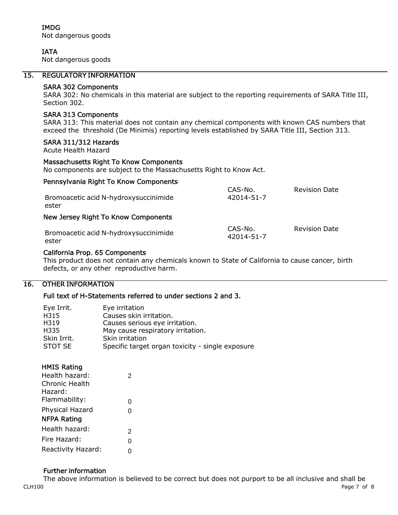IMDG Not dangerous goods

### IATA

Not dangerous goods

### 15. REGULATORY INFORMATION

#### SARA 302 Components

SARA 302: No chemicals in this material are subject to the reporting requirements of SARA Title III, Section 302.

### SARA 313 Components

SARA 313: This material does not contain any chemical components with known CAS numbers that exceed the threshold (De Minimis) reporting levels established by SARA Title III, Section 313.

#### SARA 311/312 Hazards

Acute Health Hazard

#### Massachusetts Right To Know Components

No components are subject to the Massachusetts Right to Know Act.

#### Pennsylvania Right To Know Components

| Bromoacetic acid N-hydroxysuccinimide<br>ester | CAS-No.<br>42014-51-7 | <b>Revision Date</b> |
|------------------------------------------------|-----------------------|----------------------|
| New Jersey Right To Know Components            |                       |                      |
| Bromoacetic acid N-hydroxysuccinimide<br>ester | CAS-No.<br>42014-51-7 | <b>Revision Date</b> |

### California Prop. 65 Components

This product does not contain any chemicals known to State of California to cause cancer, birth defects, or any other reproductive harm.

### 16. OTHER INFORMATION

### Full text of H-Statements referred to under sections 2 and 3.

| Eye Irrit.  | Eye irritation                                   |
|-------------|--------------------------------------------------|
| H315        | Causes skin irritation.                          |
| H319        | Causes serious eye irritation.                   |
| H335        | May cause respiratory irritation.                |
| Skin Irrit. | Skin irritation                                  |
| STOT SE     | Specific target organ toxicity - single exposure |

### HMIS Rating

| Health hazard:     | 2 |  |
|--------------------|---|--|
| Chronic Health     |   |  |
| Hazard:            |   |  |
| Flammability:      | 0 |  |
| Physical Hazard    | 0 |  |
| <b>NFPA Rating</b> |   |  |
| Health hazard:     | 2 |  |
| Fire Hazard:       | 0 |  |
| Reactivity Hazard: | 0 |  |
|                    |   |  |

#### Further information

 $\,$  CLH100  $\,$  Page 7 of 8  $\,$ The above information is believed to be correct but does not purport to be all inclusive and shall be